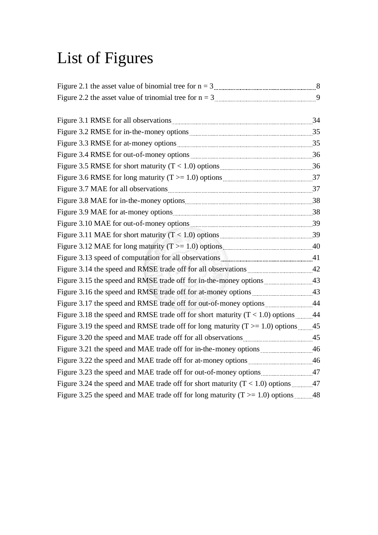## List of Figures

| Figure 3.5 RMSE for short maturity $(T < 1.0)$ options $\frac{1}{2}$ m.                                      |  |
|--------------------------------------------------------------------------------------------------------------|--|
|                                                                                                              |  |
|                                                                                                              |  |
|                                                                                                              |  |
|                                                                                                              |  |
| Figure 3.10 MAE for out-of-money options <b>manually contained</b> and the 3.10 MAE for out-of-money options |  |
|                                                                                                              |  |
|                                                                                                              |  |
| Figure 3.13 speed of computation for all observations <b>Example 2.13</b> speed 41                           |  |
|                                                                                                              |  |
|                                                                                                              |  |
|                                                                                                              |  |
|                                                                                                              |  |
| Figure 3.18 the speed and RMSE trade off for short maturity $(T < 1.0)$ options 44                           |  |
| Figure 3.19 the speed and RMSE trade off for long maturity ( $T \ge 1.0$ ) options 45                        |  |
|                                                                                                              |  |
|                                                                                                              |  |
|                                                                                                              |  |
|                                                                                                              |  |
| Figure 3.24 the speed and MAE trade off for short maturity $(T < 1.0)$ options 47                            |  |
| Figure 3.25 the speed and MAE trade off for long maturity ( $T \ge 1.0$ ) options 48                         |  |
|                                                                                                              |  |